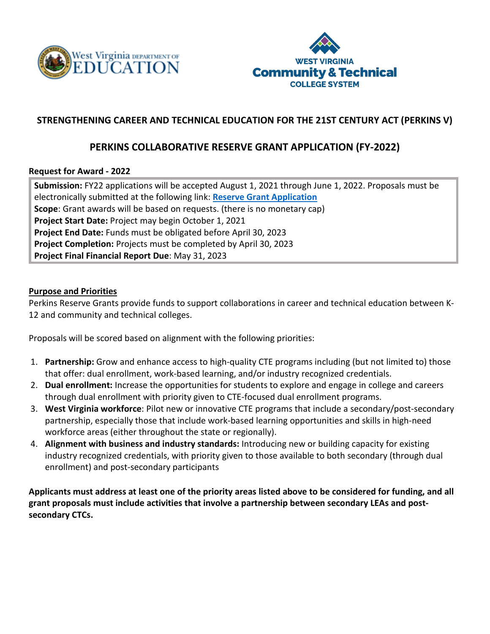



# **STRENGTHENING CAREER AND TECHNICAL EDUCATION FOR THE 21ST CENTURY ACT (PERKINS V)**

# **PERKINS COLLABORATIVE RESERVE GRANT APPLICATION (FY-2022)**

## **Request for Award - 2022**

**Submission:** FY22 applications will be accepted August 1, 2021 through June 1, 2022. Proposals must be electronically submitted at the following link: **[Reserve Grant Application](https://forms.office.com/Pages/ResponsePage.aspx?id=S7AZ4AwzekaLrgn7FzdNavKAeaKaZOdAj_5lNh7IayFUN0JPNjZBWVFHQ1pVS1pDRktUTEpSQlhEMy4u) Scope**: Grant awards will be based on requests. (there is no monetary cap) **Project Start Date:** Project may begin October 1, 2021 **Project End Date:** Funds must be obligated before April 30, 2023 **Project Completion:** Projects must be completed by April 30, 2023 **Project Final Financial Report Due**: May 31, 2023

## **Purpose and Priorities**

Perkins Reserve Grants provide funds to support collaborations in career and technical education between K-12 and community and technical colleges.

Proposals will be scored based on alignment with the following priorities:

- 1. **Partnership:** Grow and enhance access to high-quality CTE programs including (but not limited to) those that offer: dual enrollment, work-based learning, and/or industry recognized credentials.
- 2. **Dual enrollment:** Increase the opportunities for students to explore and engage in college and careers through dual enrollment with priority given to CTE-focused dual enrollment programs.
- 3. **West Virginia workforce**: Pilot new or innovative CTE programs that include a secondary/post-secondary partnership, especially those that include work-based learning opportunities and skills in high-need workforce areas (either throughout the state or regionally).
- 4. **Alignment with business and industry standards:** Introducing new or building capacity for existing industry recognized credentials, with priority given to those available to both secondary (through dual enrollment) and post-secondary participants

**Applicants must address at least one of the priority areas listed above to be considered for funding, and all grant proposals must include activities that involve a partnership between secondary LEAs and postsecondary CTCs.**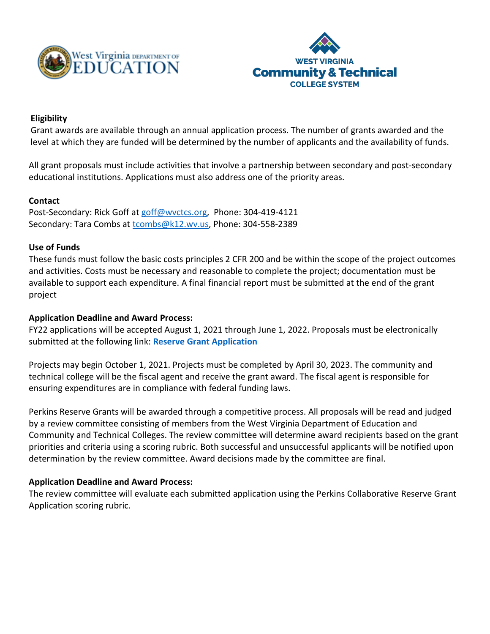



# **Eligibility**

Grant awards are available through an annual application process. The number of grants awarded and the level at which they are funded will be determined by the number of applicants and the availability of funds.

All grant proposals must include activities that involve a partnership between secondary and post-secondary educational institutions. Applications must also address one of the priority areas.

## **Contact**

Post-Secondary: Rick Goff a[t goff@wvctcs.org,](mailto:goff@wvctcs.org) Phone: 304-419-4121 Secondary: Tara Combs at [tcombs@k12.wv.us,](mailto:tcombs@k12.wv.us) Phone: 304-558-2389

#### **Use of Funds**

These funds must follow the basic costs principles 2 CFR 200 and be within the scope of the project outcomes and activities. Costs must be necessary and reasonable to complete the project; documentation must be available to support each expenditure. A final financial report must be submitted at the end of the grant project

#### **Application Deadline and Award Process:**

FY22 applications will be accepted August 1, 2021 through June 1, 2022. Proposals must be electronically submitted at the following link: **[Reserve Grant Application](https://forms.office.com/Pages/ResponsePage.aspx?id=S7AZ4AwzekaLrgn7FzdNavKAeaKaZOdAj_5lNh7IayFUN0JPNjZBWVFHQ1pVS1pDRktUTEpSQlhEMy4u)**

Projects may begin October 1, 2021. Projects must be completed by April 30, 2023. The community and technical college will be the fiscal agent and receive the grant award. The fiscal agent is responsible for ensuring expenditures are in compliance with federal funding laws.

Perkins Reserve Grants will be awarded through a competitive process. All proposals will be read and judged by a review committee consisting of members from the West Virginia Department of Education and Community and Technical Colleges. The review committee will determine award recipients based on the grant priorities and criteria using a scoring rubric. Both successful and unsuccessful applicants will be notified upon determination by the review committee. Award decisions made by the committee are final.

## **Application Deadline and Award Process:**

The review committee will evaluate each submitted application using the Perkins Collaborative Reserve Grant Application scoring rubric.